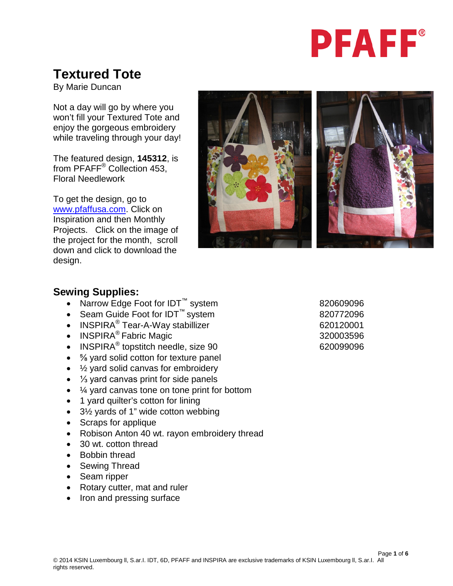

# **Textured Tote**

By Marie Duncan

Not a day will go by where you won't fill your Textured Tote and enjoy the gorgeous embroidery while traveling through your day!

The featured design, **145312**, is from PFAFF® Collection 453, Floral Needlework

To get the design, go to [www.pfaffusa.com.](http://www.pfaffusa.com/) Click on Inspiration and then Monthly Projects. Click on the image of the project for the month, scroll down and click to download the design.



#### **Sewing Supplies:**

- Narrow Edge Foot for IDT<sup>™</sup> system 820609096
- Seam Guide Foot for IDT<sup>™</sup> system 620772096
- INSPIRA $^{\circ}$  Tear-A-Way stabillizer  $620120001$
- INSPIRA® Fabric Magic 320003596
- INSPIRA<sup>®</sup> topstitch needle, size 90 620099096
- <sup>5</sup>/<sub>8</sub> yard solid cotton for texture panel
- 1/<sub>2</sub> yard solid canvas for embroidery
- ⅓ yard canvas print for side panels
- ¼ yard canvas tone on tone print for bottom
- 1 yard quilter's cotton for lining
- 3½ yards of 1" wide cotton webbing
- Scraps for applique
- Robison Anton 40 wt. rayon embroidery thread
- 30 wt. cotton thread
- Bobbin thread
- Sewing Thread
- Seam ripper
- Rotary cutter, mat and ruler
- Iron and pressing surface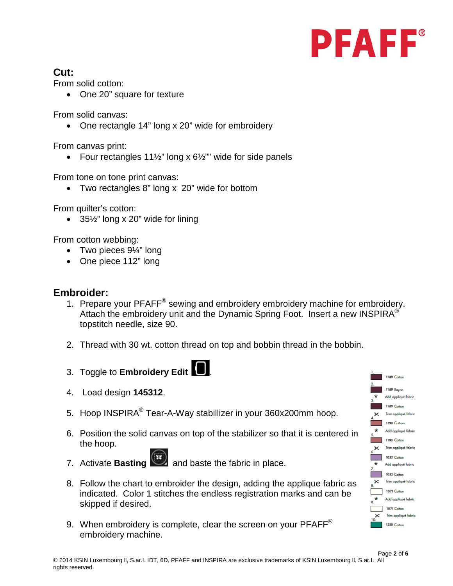

## **Cut:**

From solid cotton:

• One 20" square for texture

From solid canvas:

• One rectangle 14" long x 20" wide for embroidery

From canvas print:

• Four rectangles  $11\frac{1}{2}$ " long x  $6\frac{1}{2}$ "" wide for side panels

From tone on tone print canvas:

• Two rectangles 8" long x 20" wide for bottom

From quilter's cotton:

• 35½" long x 20" wide for lining

From cotton webbing:

- Two pieces 9¼" long
- One piece 112" long

### **Embroider:**

- 1. Prepare your PFAFF<sup>®</sup> sewing and embroidery embroidery machine for embroidery. Attach the embroidery unit and the Dynamic Spring Foot. Insert a new INSPIRA $^{\circledR}$ topstitch needle, size 90.
- 2. Thread with 30 wt. cotton thread on top and bobbin thread in the bobbin.
- 3. Toggle to **Embroidery Edit** .
- 4. Load design **145312**.
- 5. Hoop INSPIRA® Tear-A-Way stabillizer in your 360x200mm hoop.
- 6. Position the solid canvas on top of the stabilizer so that it is centered in the hoop.
- 7. Activate **Basting** and baste the fabric in place.
- 8. Follow the chart to embroider the design, adding the applique fabric as indicated. Color 1 stitches the endless registration marks and can be skipped if desired.
- 9. When embroidery is complete, clear the screen on your  $PFAFF^{\otimes}$ embroidery machine.

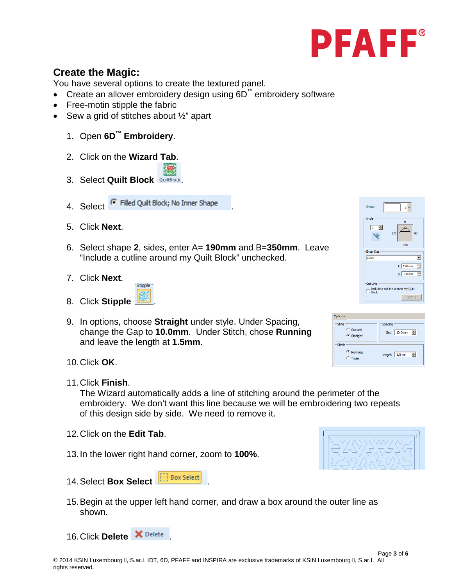

## **Create the Magic:**

You have several options to create the textured panel.

- Create an allover embroidery design using 6D™ embroidery software
- Free-motin stipple the fabric
- Sew a grid of stitches about  $\frac{1}{2}$ " apart
	- 1. Open **6D™ Embroidery**.
	- 2. Click on the **Wizard Tab**.
	- 3. Select **Quilt Block** QuiltBlock
	- 4. Select <sup>C</sup> Filled Quilt Block; No Inner Shape
	- 5. Click **Next**.
	- 6. Select shape **2**, sides, enter A= **190mm** and B=**350mm**. Leave "Include a cutline around my Quilt Block" unchecked.
	- 7. Click **Next**.



9. In options, choose **Straight** under style. Under Spacing, change the Gap to **10.0mm**. Under Stitch, chose **Running** and leave the length at **1.5mm**.



| Options      |                       |
|--------------|-----------------------|
| <b>Style</b> | Spacing               |
| C Curved     | 10.0 mm $\Rightarrow$ |
| G Straight   | Gap                   |
| Stitch       | ÷                     |
| C Running    | 1.5 <sub>mm</sub>     |
| $C$ Triple   | Length                |

- 10.Click **OK**.
- 11.Click **Finish**.

The Wizard automatically adds a line of stitching around the perimeter of the embroidery. We don't want this line because we will be embroidering two repeats of this design side by side. We need to remove it.

- 12.Click on the **Edit Tab**.
- 13.In the lower right hand corner, zoom to **100%**.



- 15.Begin at the upper left hand corner, and draw a box around the outer line as shown.
- 16. Click **Delete** X Delete

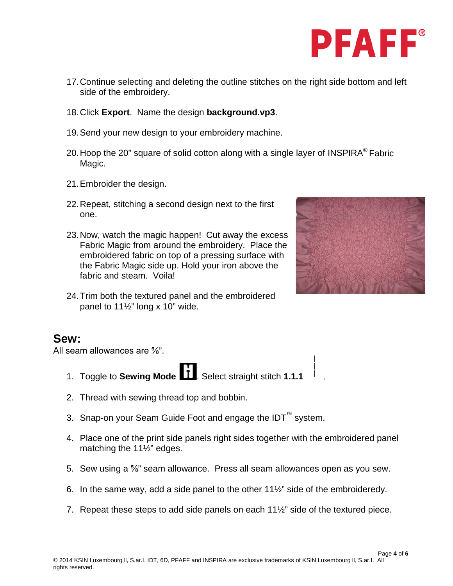

- 17.Continue selecting and deleting the outline stitches on the right side bottom and left side of the embroidery.
- 18.Click **Export**. Name the design **background.vp3**.
- 19.Send your new design to your embroidery machine.
- 20. Hoop the 20" square of solid cotton along with a single layer of INSPIRA<sup>®</sup> Fabric Magic.
- 21.Embroider the design.
- 22.Repeat, stitching a second design next to the first one.
- 23.Now, watch the magic happen! Cut away the excess Fabric Magic from around the embroidery. Place the embroidered fabric on top of a pressing surface with the Fabric Magic side up. Hold your iron above the fabric and steam. Voila!
- 24.Trim both the textured panel and the embroidered panel to  $11\frac{1}{2}$ " long x 10" wide.



#### **Sew:**

All seam allowances are ⅝".

- 1. Toggle to **Sewing Mode** . Select straight stitch **1.1.1** .
- 2. Thread with sewing thread top and bobbin.
- 3. Snap-on your Seam Guide Foot and engage the IDT™ system.
- 4. Place one of the print side panels right sides together with the embroidered panel matching the 11½" edges.
- 5. Sew using a ⅝" seam allowance. Press all seam allowances open as you sew.
- 6. In the same way, add a side panel to the other 11½" side of the embroideredy.
- 7. Repeat these steps to add side panels on each 11½" side of the textured piece.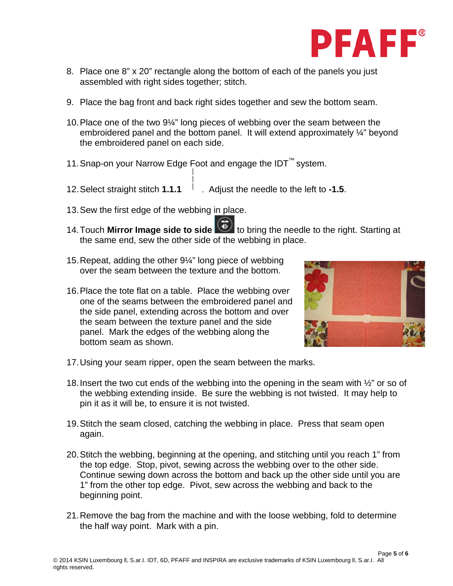

- 8. Place one 8" x 20" rectangle along the bottom of each of the panels you just assembled with right sides together; stitch.
- 9. Place the bag front and back right sides together and sew the bottom seam.
- 10.Place one of the two 9¼" long pieces of webbing over the seam between the embroidered panel and the bottom panel. It will extend approximately ¼" beyond the embroidered panel on each side.
- 11.Snap-on your Narrow Edge Foot and engage the IDT™ system.
- 12.Select straight stitch **1.1.1** . Adjust the needle to the left to **-1.5**.
- 13.Sew the first edge of the webbing in place.
- 14.Touch **Mirror Image side to side** to bring the needle to the right. Starting at the same end, sew the other side of the webbing in place.
- 15.Repeat, adding the other 9¼" long piece of webbing over the seam between the texture and the bottom.
- 16.Place the tote flat on a table. Place the webbing over one of the seams between the embroidered panel and the side panel, extending across the bottom and over the seam between the texture panel and the side panel. Mark the edges of the webbing along the bottom seam as shown.



- 17.Using your seam ripper, open the seam between the marks.
- 18.Insert the two cut ends of the webbing into the opening in the seam with ½" or so of the webbing extending inside. Be sure the webbing is not twisted. It may help to pin it as it will be, to ensure it is not twisted.
- 19.Stitch the seam closed, catching the webbing in place. Press that seam open again.
- 20.Stitch the webbing, beginning at the opening, and stitching until you reach 1" from the top edge. Stop, pivot, sewing across the webbing over to the other side. Continue sewing down across the bottom and back up the other side until you are 1" from the other top edge. Pivot, sew across the webbing and back to the beginning point.
- 21.Remove the bag from the machine and with the loose webbing, fold to determine the half way point. Mark with a pin.